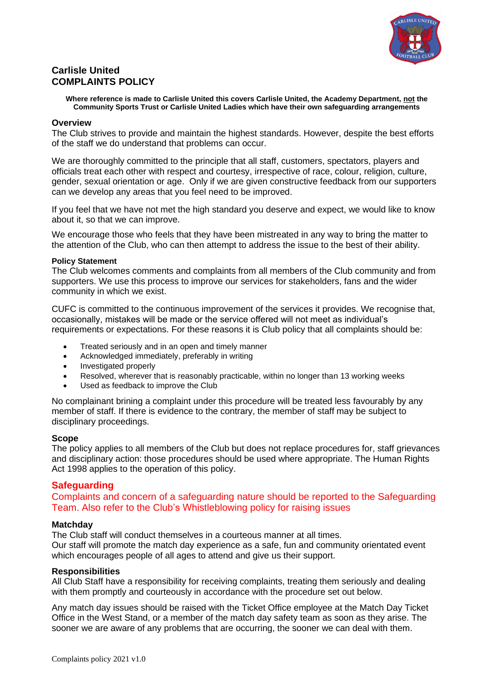

# **Carlisle United COMPLAINTS POLICY**

**Where reference is made to Carlisle United this covers Carlisle United, the Academy Department, not the Community Sports Trust or Carlisle United Ladies which have their own safeguarding arrangements**

#### **Overview**

The Club strives to provide and maintain the highest standards. However, despite the best efforts of the staff we do understand that problems can occur.

We are thoroughly committed to the principle that all staff, customers, spectators, players and officials treat each other with respect and courtesy, irrespective of race, colour, religion, culture, gender, sexual orientation or age. Only if we are given constructive feedback from our supporters can we develop any areas that you feel need to be improved.

If you feel that we have not met the high standard you deserve and expect, we would like to know about it, so that we can improve.

We encourage those who feels that they have been mistreated in any way to bring the matter to the attention of the Club, who can then attempt to address the issue to the best of their ability.

#### **Policy Statement**

The Club welcomes comments and complaints from all members of the Club community and from supporters. We use this process to improve our services for stakeholders, fans and the wider community in which we exist.

CUFC is committed to the continuous improvement of the services it provides. We recognise that, occasionally, mistakes will be made or the service offered will not meet as individual's requirements or expectations. For these reasons it is Club policy that all complaints should be:

- Treated seriously and in an open and timely manner
- Acknowledged immediately, preferably in writing
- Investigated properly
- Resolved, wherever that is reasonably practicable, within no longer than 13 working weeks
- Used as feedback to improve the Club

No complainant brining a complaint under this procedure will be treated less favourably by any member of staff. If there is evidence to the contrary, the member of staff may be subject to disciplinary proceedings.

#### **Scope**

The policy applies to all members of the Club but does not replace procedures for, staff grievances and disciplinary action: those procedures should be used where appropriate. The Human Rights Act 1998 applies to the operation of this policy.

# **Safeguarding**

Complaints and concern of a safeguarding nature should be reported to the Safeguarding Team. Also refer to the Club's Whistleblowing policy for raising issues

#### **Matchday**

The Club staff will conduct themselves in a courteous manner at all times.

Our staff will promote the match day experience as a safe, fun and community orientated event which encourages people of all ages to attend and give us their support.

#### **Responsibilities**

All Club Staff have a responsibility for receiving complaints, treating them seriously and dealing with them promptly and courteously in accordance with the procedure set out below.

Any match day issues should be raised with the Ticket Office employee at the Match Day Ticket Office in the West Stand, or a member of the match day safety team as soon as they arise. The sooner we are aware of any problems that are occurring, the sooner we can deal with them.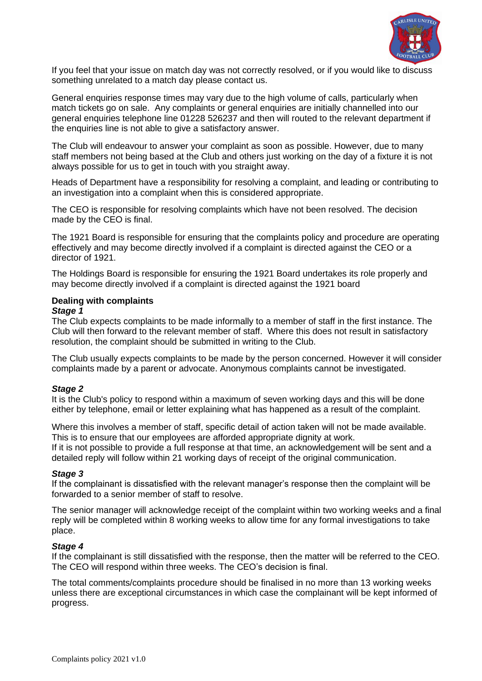

If you feel that your issue on match day was not correctly resolved, or if you would like to discuss something unrelated to a match day please contact us.

General enquiries response times may vary due to the high volume of calls, particularly when match tickets go on sale. Any complaints or general enquiries are initially channelled into our general enquiries telephone line 01228 526237 and then will routed to the relevant department if the enquiries line is not able to give a satisfactory answer.

The Club will endeavour to answer your complaint as soon as possible. However, due to many staff members not being based at the Club and others just working on the day of a fixture it is not always possible for us to get in touch with you straight away.

Heads of Department have a responsibility for resolving a complaint, and leading or contributing to an investigation into a complaint when this is considered appropriate.

The CEO is responsible for resolving complaints which have not been resolved. The decision made by the CEO is final.

The 1921 Board is responsible for ensuring that the complaints policy and procedure are operating effectively and may become directly involved if a complaint is directed against the CEO or a director of 1921.

The Holdings Board is responsible for ensuring the 1921 Board undertakes its role properly and may become directly involved if a complaint is directed against the 1921 board

# **Dealing with complaints**

#### *Stage 1*

The Club expects complaints to be made informally to a member of staff in the first instance. The Club will then forward to the relevant member of staff. Where this does not result in satisfactory resolution, the complaint should be submitted in writing to the Club.

The Club usually expects complaints to be made by the person concerned. However it will consider complaints made by a parent or advocate. Anonymous complaints cannot be investigated.

#### *Stage 2*

It is the Club's policy to respond within a maximum of seven working days and this will be done either by telephone, email or letter explaining what has happened as a result of the complaint.

Where this involves a member of staff, specific detail of action taken will not be made available. This is to ensure that our employees are afforded appropriate dignity at work.

If it is not possible to provide a full response at that time, an acknowledgement will be sent and a detailed reply will follow within 21 working days of receipt of the original communication.

#### *Stage 3*

If the complainant is dissatisfied with the relevant manager's response then the complaint will be forwarded to a senior member of staff to resolve.

The senior manager will acknowledge receipt of the complaint within two working weeks and a final reply will be completed within 8 working weeks to allow time for any formal investigations to take place.

#### *Stage 4*

If the complainant is still dissatisfied with the response, then the matter will be referred to the CEO. The CEO will respond within three weeks. The CEO's decision is final.

The total comments/complaints procedure should be finalised in no more than 13 working weeks unless there are exceptional circumstances in which case the complainant will be kept informed of progress.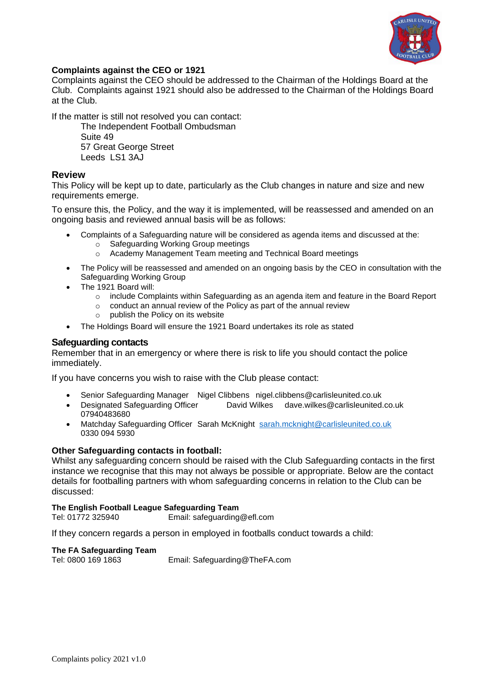

# **Complaints against the CEO or 1921**

Complaints against the CEO should be addressed to the Chairman of the Holdings Board at the Club. Complaints against 1921 should also be addressed to the Chairman of the Holdings Board at the Club.

If the matter is still not resolved you can contact:

The Independent Football Ombudsman Suite 49 57 Great George Street Leeds LS1 3AJ

# **Review**

This Policy will be kept up to date, particularly as the Club changes in nature and size and new requirements emerge.

To ensure this, the Policy, and the way it is implemented, will be reassessed and amended on an ongoing basis and reviewed annual basis will be as follows:

- Complaints of a Safeguarding nature will be considered as agenda items and discussed at the:
	- o Safeguarding Working Group meetings
	- o Academy Management Team meeting and Technical Board meetings
- The Policy will be reassessed and amended on an ongoing basis by the CEO in consultation with the Safeguarding Working Group
- The 1921 Board will:
	- o include Complaints within Safeguarding as an agenda item and feature in the Board Report
	- o conduct an annual review of the Policy as part of the annual review
	- o publish the Policy on its website
- The Holdings Board will ensure the 1921 Board undertakes its role as stated

# **Safeguarding contacts**

Remember that in an emergency or where there is risk to life you should contact the police immediately.

If you have concerns you wish to raise with the Club please contact:

- Senior Safeguarding Manager Nigel Clibbens nigel.clibbens@carlisleunited.co.uk
- Designated Safeguarding Officer David Wilkes dave.wilkes@carlisleunited.co.uk 07940483680
- Matchday Safeguarding Officer Sarah McKnight [sarah.mcknight@carlisleunited.co.uk](mailto:sarah.mcknight@carlisleunited.co.uk) 0330 094 5930

# **Other Safeguarding contacts in football:**

Whilst any safeguarding concern should be raised with the Club Safeguarding contacts in the first instance we recognise that this may not always be possible or appropriate. Below are the contact details for footballing partners with whom safeguarding concerns in relation to the Club can be discussed:

#### **The English Football League Safeguarding Team**

Tel: 01772 325940 Email: safeguarding@efl.com

If they concern regards a person in employed in footballs conduct towards a child:

#### **The FA Safeguarding Team**

Tel: 0800 169 1863 Email: Safeguarding@TheFA.com